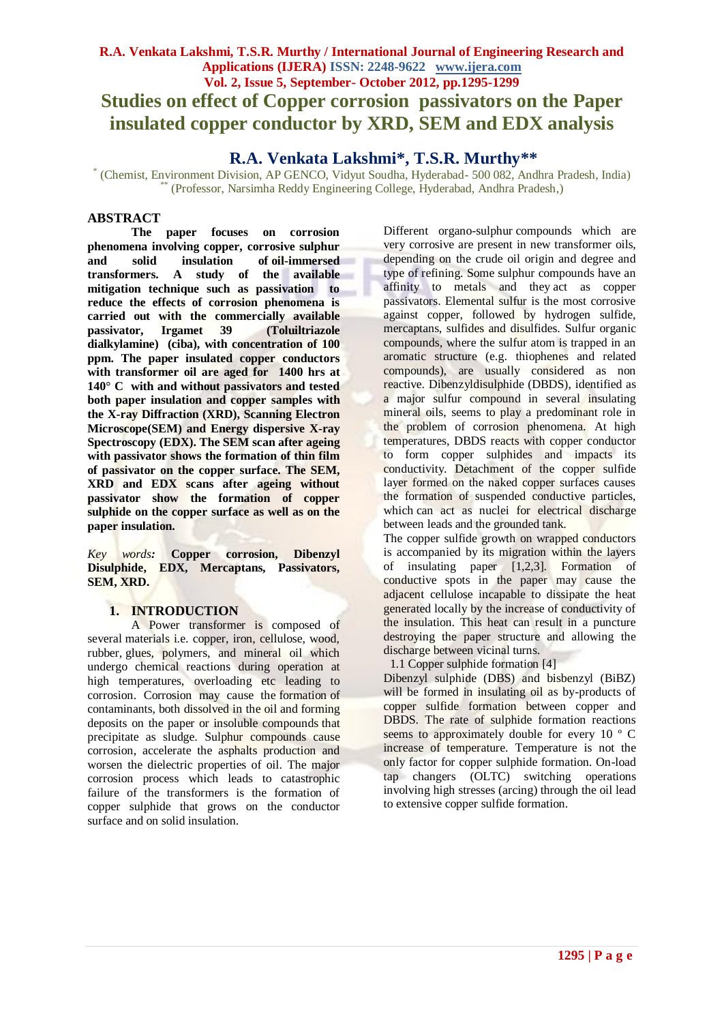# **R.A. Venkata Lakshmi, T.S.R. Murthy / International Journal of Engineering Research and Applications (IJERA) ISSN: 2248-9622 www.ijera.com Vol. 2, Issue 5, September- October 2012, pp.1295-1299 Studies on effect of Copper corrosion passivators on the Paper insulated copper conductor by XRD, SEM and EDX analysis**

## **R.A. Venkata Lakshmi\*, T.S.R. Murthy\*\***

\* (Chemist, Environment Division, AP GENCO, Vidyut Soudha, Hyderabad- 500 082, Andhra Pradesh, India) \*\* (Professor, Narsimha Reddy Engineering College, Hyderabad, Andhra Pradesh,)

### **ABSTRACT**

**The paper focuses on corrosion phenomena involving copper, corrosive sulphur and solid insulation of oil-immersed transformers. A study of the available mitigation technique such as passivation to reduce the effects of corrosion phenomena is carried out with the commercially available passivator, Irgamet 39 (Toluiltriazole dialkylamine) (ciba), with concentration of 100 ppm. The paper insulated copper conductors with transformer oil are aged for 1400 hrs at 140° C with and without passivators and tested both paper insulation and copper samples with the X-ray Diffraction (XRD), Scanning Electron Microscope(SEM) and Energy dispersive X-ray Spectroscopy (EDX). The SEM scan after ageing with passivator shows the formation of thin film of passivator on the copper surface. The SEM, XRD and EDX scans after ageing without passivator show the formation of copper sulphide on the copper surface as well as on the paper insulation.** 

*Key words:* **Copper corrosion, Dibenzyl Disulphide, EDX, Mercaptans, Passivators, SEM, XRD.**

### **1. INTRODUCTION**

A Power transformer is composed of several materials i.e. copper, iron, cellulose, wood, rubber, glues, polymers, and mineral oil which undergo chemical reactions during operation at high temperatures, overloading etc leading to corrosion. Corrosion may cause the formation of contaminants, both dissolved in the oil and forming deposits on the paper or insoluble compounds that precipitate as sludge. Sulphur compounds cause corrosion, accelerate the asphalts production and worsen the dielectric properties of oil. The major corrosion process which leads to catastrophic failure of the transformers is the formation of copper sulphide that grows on the conductor surface and on solid insulation.

Different organo-sulphur compounds which are very corrosive are present in new transformer oils, depending on the crude oil origin and degree and type of refining. Some sulphur compounds have an affinity to metals and they act as copper passivators. Elemental sulfur is the most corrosive against copper, followed by hydrogen sulfide, mercaptans, sulfides and disulfides. Sulfur organic compounds, where the sulfur atom is trapped in an aromatic structure (e.g. thiophenes and related compounds), are usually considered as non reactive. Dibenzyldisulphide (DBDS), identified as a major sulfur compound in several insulating mineral oils, seems to play a predominant role in the problem of corrosion phenomena. At high temperatures, DBDS reacts with copper conductor to form copper sulphides and impacts its conductivity. Detachment of the copper sulfide layer formed on the naked copper surfaces causes the formation of suspended conductive particles, which can act as nuclei for electrical discharge between leads and the grounded tank.

The copper sulfide growth on wrapped conductors is accompanied by its migration within the layers of insulating paper [1,2,3]. Formation of conductive spots in the paper may cause the adjacent cellulose incapable to dissipate the heat generated locally by the increase of conductivity of the insulation. This heat can result in a puncture destroying the paper structure and allowing the discharge between vicinal turns.

1.1 Copper sulphide formation [4]

Dibenzyl sulphide (DBS) and bisbenzyl (BiBZ) will be formed in insulating oil as by-products of copper sulfide formation between copper and DBDS. The rate of sulphide formation reactions seems to approximately double for every 10 ° C increase of temperature. Temperature is not the only factor for copper sulphide formation. On-load tap changers (OLTC) switching operations involving high stresses (arcing) through the oil lead to extensive copper sulfide formation.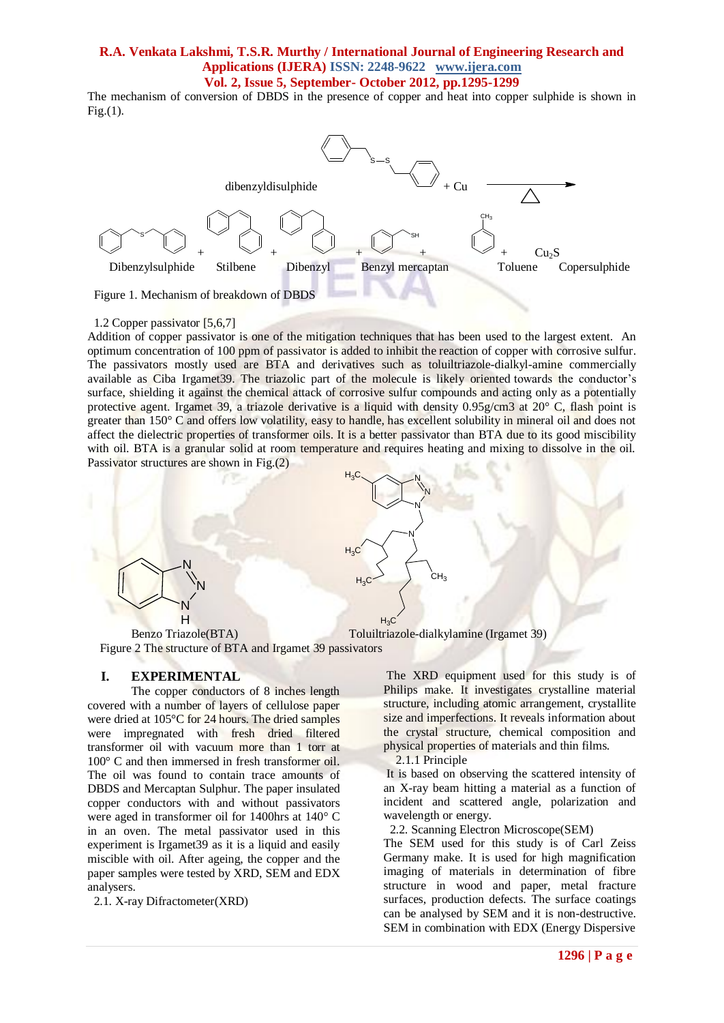The mechanism of conversion of DBDS in the presence of copper and heat into copper sulphide is shown in Fig.(1).



#### 1.2 Copper passivator [5,6,7]

Addition of copper passivator is one of the mitigation techniques that has been used to the largest extent. An optimum concentration of 100 ppm of passivator is added to inhibit the reaction of copper with corrosive sulfur. The passivators mostly used are BTA and derivatives such as toluiltriazole-dialkyl-amine commercially available as Ciba Irgamet39. The triazolic part of the molecule is likely oriented towards the conductor's surface, shielding it against the chemical attack of corrosive sulfur compounds and acting only as a potentially protective agent. Irgamet 39, a triazole derivative is a liquid with density 0.95g/cm3 at 20° C, flash point is greater than 150° C and offers low volatility, easy to handle, has excellent solubility in mineral oil and does not affect the dielectric properties of transformer oils. It is a better passivator than BTA due to its good miscibility with oil. BTA is a granular solid at room temperature and requires heating and mixing to dissolve in the oil. Passivator structures are shown in Fig.(2)



 Benzo Triazole(BTA) Toluiltriazole-dialkylamine (Irgamet 39) Figure 2 The structure of BTA and Irgamet 39 passivators

#### **I. EXPERIMENTAL**

The copper conductors of 8 inches length covered with a number of layers of cellulose paper were dried at 105°C for 24 hours. The dried samples were impregnated with fresh dried filtered transformer oil with vacuum more than 1 torr at 100° C and then immersed in fresh transformer oil. The oil was found to contain trace amounts of DBDS and Mercaptan Sulphur. The paper insulated copper conductors with and without passivators were aged in transformer oil for 1400hrs at 140° C in an oven. The metal passivator used in this experiment is Irgamet39 as it is a liquid and easily miscible with oil. After ageing, the copper and the paper samples were tested by XRD, SEM and EDX analysers.

2.1. X-ray Difractometer(XRD)

The XRD equipment used for this study is of Philips make. It investigates crystalline material structure, including atomic arrangement, crystallite size and imperfections. It reveals information about the crystal structure, chemical composition and physical properties of materials and thin films.

2.1.1 Principle

It is based on observing the scattered intensity of an X-ray beam hitting a material as a function of incident and scattered angle, polarization and wavelength or energy.

2.2. Scanning Electron Microscope(SEM)

The SEM used for this study is of Carl Zeiss Germany make. It is used for high magnification imaging of materials in determination of fibre structure in wood and paper, metal fracture surfaces, production defects. The surface coatings can be analysed by SEM and it is non-destructive. SEM in combination with EDX (Energy Dispersive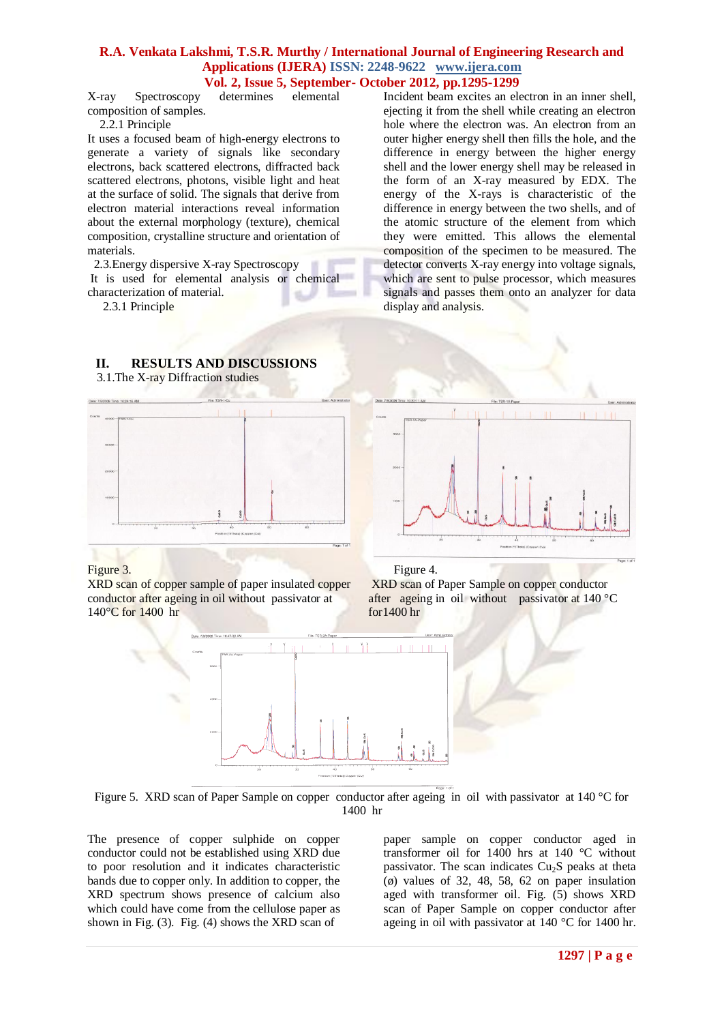X-ray Spectroscopy determines elemental composition of samples.

2.2.1 Principle

It uses a focused beam of high-energy electrons to generate a variety of signals like secondary electrons, back scattered electrons, diffracted back scattered electrons, photons, visible light and heat at the surface of solid. The signals that derive from electron material interactions reveal information about the external morphology (texture), chemical composition, crystalline structure and orientation of materials.

2.3.Energy dispersive X-ray Spectroscopy It is used for elemental analysis or chemical characterization of material.

2.3.1 Principle

Incident beam excites an electron in an inner shell, ejecting it from the shell while creating an electron hole where the electron was. An electron from an outer higher energy shell then fills the hole, and the difference in energy between the higher energy shell and the lower energy shell may be released in the form of an X-ray measured by EDX. The energy of the X-rays is characteristic of the difference in energy between the two shells, and of the atomic structure of the element from which they were emitted. This allows the elemental composition of the specimen to be measured. The detector converts X-ray energy into voltage signals, which are sent to pulse processor, which measures signals and passes them onto an analyzer for data display and analysis.

## **II. RESULTS AND DISCUSSIONS**

3.1.The X-ray Diffraction studies





XRD scan of copper sample of paper insulated copper conductor after ageing in oil without passivator at 140°C for 1400 hr

Figure 3. Figure 4.

XRD scan of Paper Sample on copper conductor after ageing in oil without passivator at 140 °C for1400 hr



Figure 5. XRD scan of Paper Sample on copper conductor after ageing in oil with passivator at 140 °C for 1400 hr

The presence of copper sulphide on copper conductor could not be established using XRD due to poor resolution and it indicates characteristic bands due to copper only. In addition to copper, the XRD spectrum shows presence of calcium also which could have come from the cellulose paper as shown in Fig. (3). Fig. (4) shows the XRD scan of

paper sample on copper conductor aged in transformer oil for 1400 hrs at 140 °C without passivator. The scan indicates  $Cu<sub>2</sub>S$  peaks at theta  $(0)$  values of 32, 48, 58, 62 on paper insulation aged with transformer oil. Fig. (5) shows XRD scan of Paper Sample on copper conductor after ageing in oil with passivator at 140 °C for 1400 hr.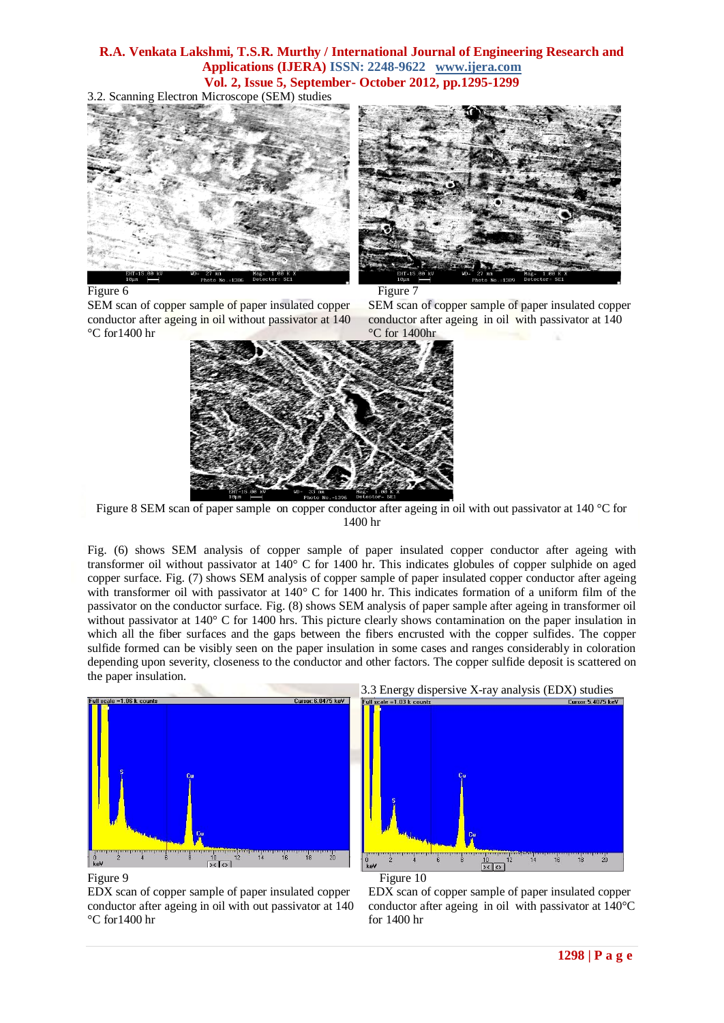3.2. Scanning Electron Microscope (SEM) studies







SEM scan of copper sample of paper insulated copper conductor after ageing in oil without passivator at 140 °C for1400 hr

SEM scan of copper sample of paper insulated copper conductor after ageing in oil with passivator at 140 °C for 1400hr



Figure 8 SEM scan of paper sample on copper conductor after ageing in oil with out passivator at 140 °C for 1400 hr

Fig. (6) shows SEM analysis of copper sample of paper insulated copper conductor after ageing with transformer oil without passivator at 140° C for 1400 hr. This indicates globules of copper sulphide on aged copper surface. Fig. (7) shows SEM analysis of copper sample of paper insulated copper conductor after ageing with transformer oil with passivator at 140° C for 1400 hr. This indicates formation of a uniform film of the passivator on the conductor surface. Fig. (8) shows SEM analysis of paper sample after ageing in transformer oil without passivator at 140° C for 1400 hrs. This picture clearly shows contamination on the paper insulation in which all the fiber surfaces and the gaps between the fibers encrusted with the copper sulfides. The copper sulfide formed can be visibly seen on the paper insulation in some cases and ranges considerably in coloration depending upon severity, closeness to the conductor and other factors. The copper sulfide deposit is scattered on the paper insulation.





EDX scan of copper sample of paper insulated copper conductor after ageing in oil with out passivator at 140 °C for1400 hr





EDX scan of copper sample of paper insulated copper conductor after ageing in oil with passivator at 140°C for 1400 hr